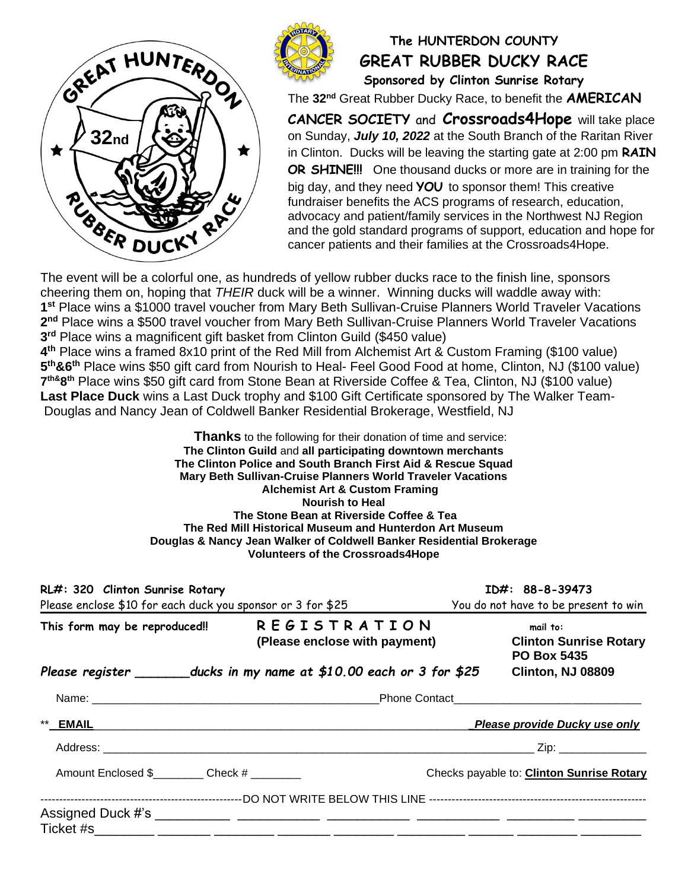



## **The HUNTERDON COUNTY GREAT RUBBER DUCKY RACE Sponsored by Clinton Sunrise Rotary**

The **32 nd** Great Rubber Ducky Race, to benefit the **AMERICAN**

**CANCER SOCIETY** and **Crossroads4Hope** will take place on Sunday, *July 10, 2022* at the South Branch of the Raritan River in Clinton. Ducks will be leaving the starting gate at 2:00 pm **RAIN OR SHINE!!!** One thousand ducks or more are in training for the big day, and they need **YOU** to sponsor them! This creative fundraiser benefits the ACS programs of research, education, advocacy and patient/family services in the Northwest NJ Region and the gold standard programs of support, education and hope for cancer patients and their families at the Crossroads4Hope.

The event will be a colorful one, as hundreds of yellow rubber ducks race to the finish line, sponsors cheering them on, hoping that *THEIR* duck will be a winner. Winning ducks will waddle away with: **1 st** Place wins a \$1000 travel voucher from Mary Beth Sullivan-Cruise Planners World Traveler Vacations 2<sup>nd</sup> Place wins a \$500 travel voucher from Mary Beth Sullivan-Cruise Planners World Traveler Vacations **3 rd** Place wins a magnificent gift basket from Clinton Guild (\$450 value)

**4 th** Place wins a framed 8x10 print of the Red Mill from Alchemist Art & Custom Framing (\$100 value) **5 th&6 th** Place wins \$50 gift card from Nourish to Heal- Feel Good Food at home, Clinton, NJ (\$100 value) **7 th&8 th** Place wins \$50 gift card from Stone Bean at Riverside Coffee & Tea, Clinton, NJ (\$100 value) **Last Place Duck** wins a Last Duck trophy and \$100 Gift Certificate sponsored by The Walker Team-Douglas and Nancy Jean of Coldwell Banker Residential Brokerage, Westfield, NJ

> **Thanks** to the following for their donation of time and service: **The Clinton Guild** and **all participating downtown merchants The Clinton Police and South Branch First Aid & Rescue Squad Mary Beth Sullivan-Cruise Planners World Traveler Vacations Alchemist Art & Custom Framing Nourish to Heal The Stone Bean at Riverside Coffee & Tea The Red Mill Historical Museum and Hunterdon Art Museum Douglas & Nancy Jean Walker of Coldwell Banker Residential Brokerage Volunteers of the Crossroads4Hope**

| RL#: 320 Clinton Sunrise Rotary<br>Please enclose \$10 for each duck you sponsor or 3 for \$25 |  |                                                                                                                                   | ID#: 88-8-39473<br>You do not have to be present to win |                                                                 |  |
|------------------------------------------------------------------------------------------------|--|-----------------------------------------------------------------------------------------------------------------------------------|---------------------------------------------------------|-----------------------------------------------------------------|--|
| This form may be reproduced!!                                                                  |  | <b>REGISTRATION</b><br>(Please enclose with payment)<br>Please register _________ducks in my name at $$10.00$ each or 3 for $$25$ |                                                         | mail to:<br><b>Clinton Sunrise Rotary</b><br><b>PO Box 5435</b> |  |
|                                                                                                |  |                                                                                                                                   |                                                         | <b>Clinton, NJ 08809</b>                                        |  |
|                                                                                                |  |                                                                                                                                   |                                                         | <b>Phone Contact Exercise 2018</b>                              |  |
| ** EMAIL                                                                                       |  |                                                                                                                                   |                                                         | Please provide Ducky use only                                   |  |
|                                                                                                |  |                                                                                                                                   |                                                         |                                                                 |  |
| Amount Enclosed \$___________ Check # ________                                                 |  |                                                                                                                                   |                                                         | Checks payable to: Clinton Sunrise Rotary                       |  |
|                                                                                                |  |                                                                                                                                   |                                                         |                                                                 |  |
|                                                                                                |  |                                                                                                                                   |                                                         |                                                                 |  |